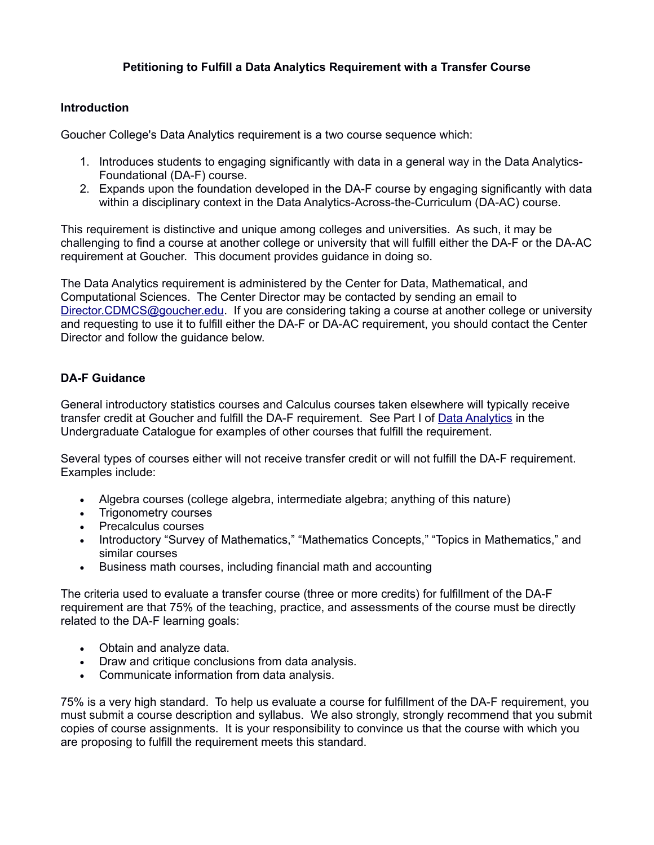## **Petitioning to Fulfill a Data Analytics Requirement with a Transfer Course**

## **Introduction**

Goucher College's Data Analytics requirement is a two course sequence which:

- 1. Introduces students to engaging significantly with data in a general way in the Data Analytics-Foundational (DA-F) course.
- 2. Expands upon the foundation developed in the DA-F course by engaging significantly with data within a disciplinary context in the Data Analytics-Across-the-Curriculum (DA-AC) course.

This requirement is distinctive and unique among colleges and universities. As such, it may be challenging to find a course at another college or university that will fulfill either the DA-F or the DA-AC requirement at Goucher. This document provides guidance in doing so.

The Data Analytics requirement is administered by the Center for Data, Mathematical, and Computational Sciences. The Center Director may be contacted by sending an email to [Director.CDMCS@goucher.edu.](mailto:Director.CDMCS@goucher.edu) If you are considering taking a course at another college or university and requesting to use it to fulfill either the DA-F or DA-AC requirement, you should contact the Center Director and follow the guidance below.

## **DA-F Guidance**

General introductory statistics courses and Calculus courses taken elsewhere will typically receive transfer credit at Goucher and fulfill the DA-F requirement. See Part I of [Data Analytics](https://catalog.goucher.edu/preview_program.php?catoid=10&poid=1263) in the Undergraduate Catalogue for examples of other courses that fulfill the requirement.

Several types of courses either will not receive transfer credit or will not fulfill the DA-F requirement. Examples include:

- Algebra courses (college algebra, intermediate algebra; anything of this nature)
- Trigonometry courses
- Precalculus courses
- Introductory "Survey of Mathematics," "Mathematics Concepts," "Topics in Mathematics," and similar courses
- Business math courses, including financial math and accounting

The criteria used to evaluate a transfer course (three or more credits) for fulfillment of the DA-F requirement are that 75% of the teaching, practice, and assessments of the course must be directly related to the DA-F learning goals:

- Obtain and analyze data.
- Draw and critique conclusions from data analysis.
- Communicate information from data analysis.

75% is a very high standard. To help us evaluate a course for fulfillment of the DA-F requirement, you must submit a course description and syllabus. We also strongly, strongly recommend that you submit copies of course assignments. It is your responsibility to convince us that the course with which you are proposing to fulfill the requirement meets this standard.